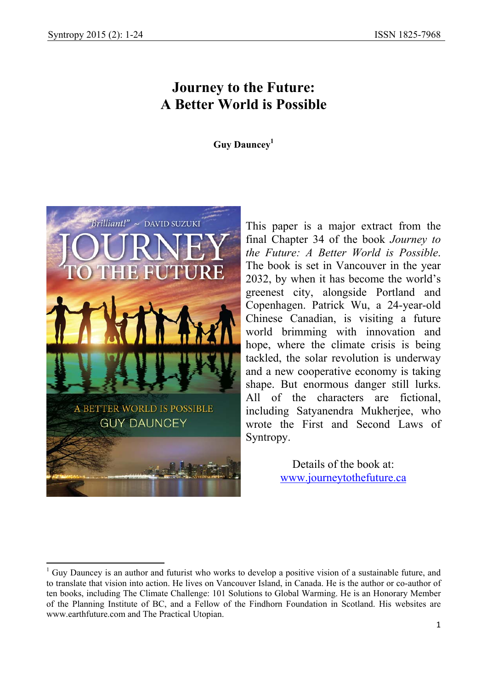## **Journey to the Future: A Better World is Possible**

**Guy Dauncey1**



l

This paper is a major extract from the final Chapter 34 of the book *Journey to the Future: A Better World is Possible*. The book is set in Vancouver in the year 2032, by when it has become the world's greenest city, alongside Portland and Copenhagen. Patrick Wu, a 24-year-old Chinese Canadian, is visiting a future world brimming with innovation and hope, where the climate crisis is being tackled, the solar revolution is underway and a new cooperative economy is taking shape. But enormous danger still lurks. All of the characters are fictional, including Satyanendra Mukherjee, who wrote the First and Second Laws of Syntropy.

> Details of the book at: www.journeytothefuture.ca

<sup>&</sup>lt;sup>1</sup> Guy Dauncey is an author and futurist who works to develop a positive vision of a sustainable future, and to translate that vision into action. He lives on Vancouver Island, in Canada. He is the author or co-author of ten books, including The Climate Challenge: 101 Solutions to Global Warming. He is an Honorary Member of the Planning Institute of BC, and a Fellow of the Findhorn Foundation in Scotland. His websites are www.earthfuture.com and The Practical Utopian.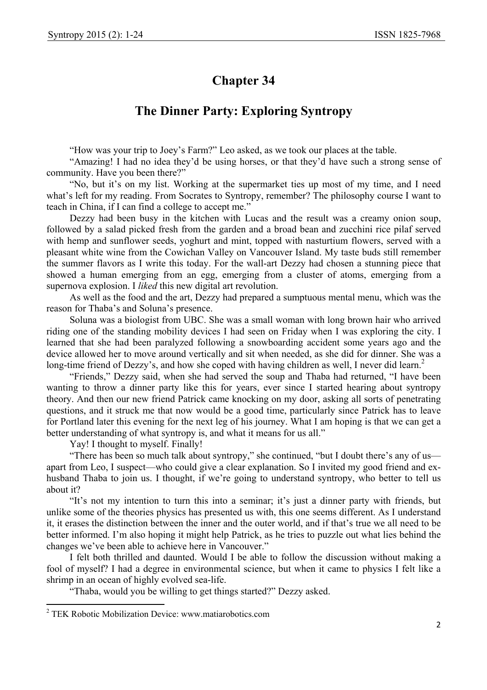## **Chapter 34**

## **The Dinner Party: Exploring Syntropy**

"How was your trip to Joey's Farm?" Leo asked, as we took our places at the table.

"Amazing! I had no idea they'd be using horses, or that they'd have such a strong sense of community. Have you been there?"

"No, but it's on my list. Working at the supermarket ties up most of my time, and I need what's left for my reading. From Socrates to Syntropy, remember? The philosophy course I want to teach in China, if I can find a college to accept me."

Dezzy had been busy in the kitchen with Lucas and the result was a creamy onion soup, followed by a salad picked fresh from the garden and a broad bean and zucchini rice pilaf served with hemp and sunflower seeds, yoghurt and mint, topped with nasturtium flowers, served with a pleasant white wine from the Cowichan Valley on Vancouver Island. My taste buds still remember the summer flavors as I write this today. For the wall-art Dezzy had chosen a stunning piece that showed a human emerging from an egg, emerging from a cluster of atoms, emerging from a supernova explosion. I *liked* this new digital art revolution.

As well as the food and the art, Dezzy had prepared a sumptuous mental menu, which was the reason for Thaba's and Soluna's presence.

Soluna was a biologist from UBC. She was a small woman with long brown hair who arrived riding one of the standing mobility devices I had seen on Friday when I was exploring the city. I learned that she had been paralyzed following a snowboarding accident some years ago and the device allowed her to move around vertically and sit when needed, as she did for dinner. She was a long-time friend of Dezzy's, and how she coped with having children as well, I never did learn.<sup>2</sup>

"Friends," Dezzy said, when she had served the soup and Thaba had returned, "I have been wanting to throw a dinner party like this for years, ever since I started hearing about syntropy theory. And then our new friend Patrick came knocking on my door, asking all sorts of penetrating questions, and it struck me that now would be a good time, particularly since Patrick has to leave for Portland later this evening for the next leg of his journey. What I am hoping is that we can get a better understanding of what syntropy is, and what it means for us all."

Yay! I thought to myself. Finally!

"There has been so much talk about syntropy," she continued, "but I doubt there's any of us apart from Leo, I suspect—who could give a clear explanation. So I invited my good friend and exhusband Thaba to join us. I thought, if we're going to understand syntropy, who better to tell us about it?

"It's not my intention to turn this into a seminar; it's just a dinner party with friends, but unlike some of the theories physics has presented us with, this one seems different. As I understand it, it erases the distinction between the inner and the outer world, and if that's true we all need to be better informed. I'm also hoping it might help Patrick, as he tries to puzzle out what lies behind the changes we've been able to achieve here in Vancouver."

I felt both thrilled and daunted. Would I be able to follow the discussion without making a fool of myself? I had a degree in environmental science, but when it came to physics I felt like a shrimp in an ocean of highly evolved sea-life.

"Thaba, would you be willing to get things started?" Dezzy asked.

 $\overline{a}$ 

<sup>2</sup> TEK Robotic Mobilization Device: www.matiarobotics.com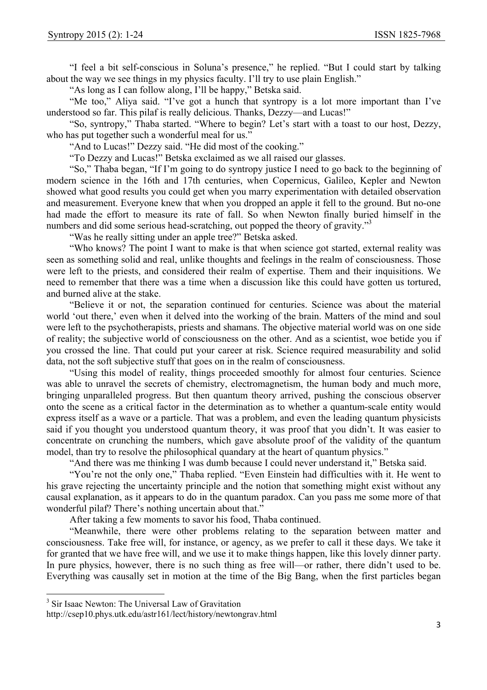"I feel a bit self-conscious in Soluna's presence," he replied. "But I could start by talking about the way we see things in my physics faculty. I'll try to use plain English."

"As long as I can follow along, I'll be happy," Betska said.

"Me too," Aliya said. "I've got a hunch that syntropy is a lot more important than I've understood so far. This pilaf is really delicious. Thanks, Dezzy—and Lucas!"

"So, syntropy," Thaba started. "Where to begin? Let's start with a toast to our host, Dezzy, who has put together such a wonderful meal for us."

"And to Lucas!" Dezzy said. "He did most of the cooking."

"To Dezzy and Lucas!" Betska exclaimed as we all raised our glasses.

"So," Thaba began, "If I'm going to do syntropy justice I need to go back to the beginning of modern science in the 16th and 17th centuries, when Copernicus, Galileo, Kepler and Newton showed what good results you could get when you marry experimentation with detailed observation and measurement. Everyone knew that when you dropped an apple it fell to the ground. But no-one had made the effort to measure its rate of fall. So when Newton finally buried himself in the numbers and did some serious head-scratching, out popped the theory of gravity."<sup>3</sup>

"Was he really sitting under an apple tree?" Betska asked.

"Who knows? The point I want to make is that when science got started, external reality was seen as something solid and real, unlike thoughts and feelings in the realm of consciousness. Those were left to the priests, and considered their realm of expertise. Them and their inquisitions. We need to remember that there was a time when a discussion like this could have gotten us tortured, and burned alive at the stake.

"Believe it or not, the separation continued for centuries. Science was about the material world 'out there,' even when it delved into the working of the brain. Matters of the mind and soul were left to the psychotherapists, priests and shamans. The objective material world was on one side of reality; the subjective world of consciousness on the other. And as a scientist, woe betide you if you crossed the line. That could put your career at risk. Science required measurability and solid data, not the soft subjective stuff that goes on in the realm of consciousness.

"Using this model of reality, things proceeded smoothly for almost four centuries. Science was able to unravel the secrets of chemistry, electromagnetism, the human body and much more, bringing unparalleled progress. But then quantum theory arrived, pushing the conscious observer onto the scene as a critical factor in the determination as to whether a quantum-scale entity would express itself as a wave or a particle. That was a problem, and even the leading quantum physicists said if you thought you understood quantum theory, it was proof that you didn't. It was easier to concentrate on crunching the numbers, which gave absolute proof of the validity of the quantum model, than try to resolve the philosophical quandary at the heart of quantum physics."

"And there was me thinking I was dumb because I could never understand it," Betska said.

"You're not the only one," Thaba replied. "Even Einstein had difficulties with it. He went to his grave rejecting the uncertainty principle and the notion that something might exist without any causal explanation, as it appears to do in the quantum paradox. Can you pass me some more of that wonderful pilaf? There's nothing uncertain about that."

After taking a few moments to savor his food, Thaba continued.

"Meanwhile, there were other problems relating to the separation between matter and consciousness. Take free will, for instance, or agency, as we prefer to call it these days. We take it for granted that we have free will, and we use it to make things happen, like this lovely dinner party. In pure physics, however, there is no such thing as free will—or rather, there didn't used to be. Everything was causally set in motion at the time of the Big Bang, when the first particles began

<sup>&</sup>lt;sup>3</sup> Sir Isaac Newton: The Universal Law of Gravitation

http://csep10.phys.utk.edu/astr161/lect/history/newtongrav.html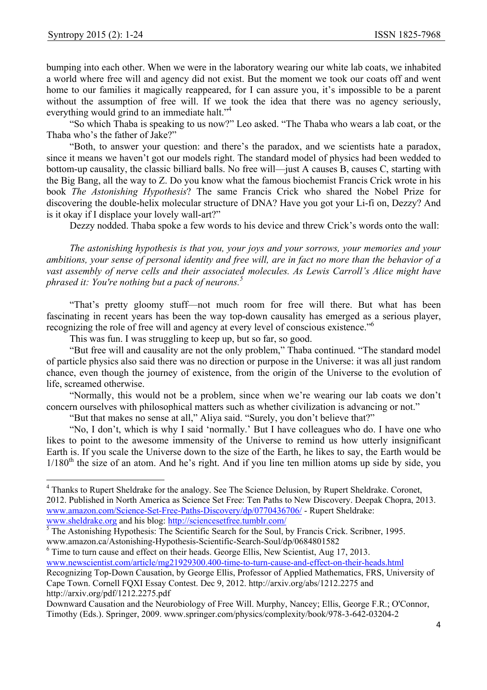bumping into each other. When we were in the laboratory wearing our white lab coats, we inhabited a world where free will and agency did not exist. But the moment we took our coats off and went home to our families it magically reappeared, for I can assure you, it's impossible to be a parent without the assumption of free will. If we took the idea that there was no agency seriously, everything would grind to an immediate halt."<sup>4</sup>

"So which Thaba is speaking to us now?" Leo asked. "The Thaba who wears a lab coat, or the Thaba who's the father of Jake?"

"Both, to answer your question: and there's the paradox, and we scientists hate a paradox, since it means we haven't got our models right. The standard model of physics had been wedded to bottom-up causality, the classic billiard balls. No free will—just A causes B, causes C, starting with the Big Bang, all the way to Z. Do you know what the famous biochemist Francis Crick wrote in his book *The Astonishing Hypothesis*? The same Francis Crick who shared the Nobel Prize for discovering the double-helix molecular structure of DNA? Have you got your Li-fi on, Dezzy? And is it okay if I displace your lovely wall-art?"

Dezzy nodded. Thaba spoke a few words to his device and threw Crick's words onto the wall:

*The astonishing hypothesis is that you, your joys and your sorrows, your memories and your ambitions, your sense of personal identity and free will, are in fact no more than the behavior of a vast assembly of nerve cells and their associated molecules. As Lewis Carroll's Alice might have phrased it: You're nothing but a pack of neurons.5*

"That's pretty gloomy stuff—not much room for free will there. But what has been fascinating in recent years has been the way top-down causality has emerged as a serious player, recognizing the role of free will and agency at every level of conscious existence."6

This was fun. I was struggling to keep up, but so far, so good.

"But free will and causality are not the only problem," Thaba continued. "The standard model of particle physics also said there was no direction or purpose in the Universe: it was all just random chance, even though the journey of existence, from the origin of the Universe to the evolution of life, screamed otherwise.

"Normally, this would not be a problem, since when we're wearing our lab coats we don't concern ourselves with philosophical matters such as whether civilization is advancing or not."

"But that makes no sense at all," Aliya said. "Surely, you don't believe that?"

"No, I don't, which is why I said 'normally.' But I have colleagues who do. I have one who likes to point to the awesome immensity of the Universe to remind us how utterly insignificant Earth is. If you scale the Universe down to the size of the Earth, he likes to say, the Earth would be  $1/180<sup>th</sup>$  the size of an atom. And he's right. And if you line ten million atoms up side by side, you

<sup>6</sup> Time to turn cause and effect on their heads. George Ellis, New Scientist, Aug 17, 2013.

www.newscientist.com/article/mg21929300.400-time-to-turn-cause-and-effect-on-their-heads.html

 4 Thanks to Rupert Sheldrake for the analogy. See The Science Delusion, by Rupert Sheldrake. Coronet, 2012. Published in North America as Science Set Free: Ten Paths to New Discovery. Deepak Chopra, 2013. www.amazon.com/Science-Set-Free-Paths-Discovery/dp/0770436706/ - Rupert Sheldrake: www.sheldrake.org and his blog: http://sciencesetfree.tumblr.com/ 5

 $<sup>5</sup>$  The Astonishing Hypothesis: The Scientific Search for the Soul, by Francis Crick. Scribner, 1995.</sup> www.amazon.ca/Astonishing-Hypothesis-Scientific-Search-Soul/dp/0684801582

Recognizing Top-Down Causation, by George Ellis, Professor of Applied Mathematics, FRS, University of Cape Town. Cornell FQXI Essay Contest. Dec 9, 2012. http://arxiv.org/abs/1212.2275 and http://arxiv.org/pdf/1212.2275.pdf

Downward Causation and the Neurobiology of Free Will. Murphy, Nancey; Ellis, George F.R.; O'Connor, Timothy (Eds.). Springer, 2009. www.springer.com/physics/complexity/book/978-3-642-03204-2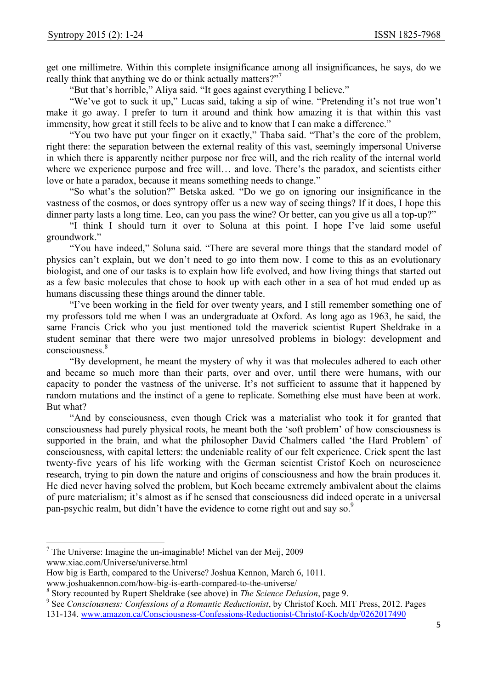get one millimetre. Within this complete insignificance among all insignificances, he says, do we really think that anything we do or think actually matters?"<sup>7</sup>

"But that's horrible," Aliya said. "It goes against everything I believe."

"We've got to suck it up," Lucas said, taking a sip of wine. "Pretending it's not true won't make it go away. I prefer to turn it around and think how amazing it is that within this vast immensity, how great it still feels to be alive and to know that I can make a difference."

"You two have put your finger on it exactly," Thaba said. "That's the core of the problem, right there: the separation between the external reality of this vast, seemingly impersonal Universe in which there is apparently neither purpose nor free will, and the rich reality of the internal world where we experience purpose and free will… and love. There's the paradox, and scientists either love or hate a paradox, because it means something needs to change."

"So what's the solution?" Betska asked. "Do we go on ignoring our insignificance in the vastness of the cosmos, or does syntropy offer us a new way of seeing things? If it does, I hope this dinner party lasts a long time. Leo, can you pass the wine? Or better, can you give us all a top-up?"

"I think I should turn it over to Soluna at this point. I hope I've laid some useful groundwork."

"You have indeed," Soluna said. "There are several more things that the standard model of physics can't explain, but we don't need to go into them now. I come to this as an evolutionary biologist, and one of our tasks is to explain how life evolved, and how living things that started out as a few basic molecules that chose to hook up with each other in a sea of hot mud ended up as humans discussing these things around the dinner table.

"I've been working in the field for over twenty years, and I still remember something one of my professors told me when I was an undergraduate at Oxford. As long ago as 1963, he said, the same Francis Crick who you just mentioned told the maverick scientist Rupert Sheldrake in a student seminar that there were two major unresolved problems in biology: development and consciousness.<sup>8</sup>

"By development, he meant the mystery of why it was that molecules adhered to each other and became so much more than their parts, over and over, until there were humans, with our capacity to ponder the vastness of the universe. It's not sufficient to assume that it happened by random mutations and the instinct of a gene to replicate. Something else must have been at work. But what?

"And by consciousness, even though Crick was a materialist who took it for granted that consciousness had purely physical roots, he meant both the 'soft problem' of how consciousness is supported in the brain, and what the philosopher David Chalmers called 'the Hard Problem' of consciousness, with capital letters: the undeniable reality of our felt experience. Crick spent the last twenty-five years of his life working with the German scientist Cristof Koch on neuroscience research, trying to pin down the nature and origins of consciousness and how the brain produces it. He died never having solved the problem, but Koch became extremely ambivalent about the claims of pure materialism; it's almost as if he sensed that consciousness did indeed operate in a universal pan-psychic realm, but didn't have the evidence to come right out and say so.<sup>9</sup>

 $7$  The Universe: Imagine the un-imaginable! Michel van der Meij, 2009 www.xiac.com/Universe/universe.html

 $\overline{\phantom{a}}$ 

- How big is Earth, compared to the Universe? Joshua Kennon, March 6, 1011.
- www.joshuakennon.com/how-big-is-earth-compared-to-the-universe/

9 See *Consciousness: Confessions of a Romantic Reductionist*, by Christof Koch. MIT Press, 2012. Pages 131-134. www.amazon.ca/Consciousness-Confessions-Reductionist-Christof-Koch/dp/0262017490

<sup>8</sup> Story recounted by Rupert Sheldrake (see above) in *The Science Delusion*, page 9.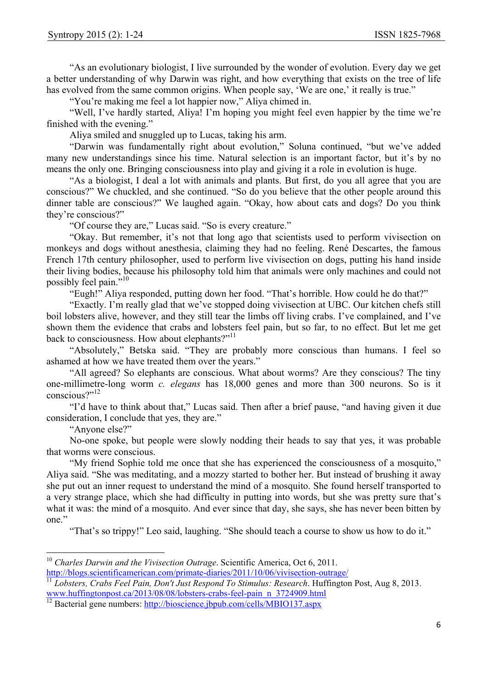"As an evolutionary biologist, I live surrounded by the wonder of evolution. Every day we get a better understanding of why Darwin was right, and how everything that exists on the tree of life has evolved from the same common origins. When people say, 'We are one,' it really is true."

"You're making me feel a lot happier now," Aliya chimed in.

"Well, I've hardly started, Aliya! I'm hoping you might feel even happier by the time we're finished with the evening."

Aliya smiled and snuggled up to Lucas, taking his arm.

"Darwin was fundamentally right about evolution," Soluna continued, "but we've added many new understandings since his time. Natural selection is an important factor, but it's by no means the only one. Bringing consciousness into play and giving it a role in evolution is huge.

"As a biologist, I deal a lot with animals and plants. But first, do you all agree that you are conscious?" We chuckled, and she continued. "So do you believe that the other people around this dinner table are conscious?" We laughed again. "Okay, how about cats and dogs? Do you think they're conscious?"

"Of course they are," Lucas said. "So is every creature."

"Okay. But remember, it's not that long ago that scientists used to perform vivisection on monkeys and dogs without anesthesia, claiming they had no feeling. René Descartes, the famous French 17th century philosopher, used to perform live vivisection on dogs, putting his hand inside their living bodies, because his philosophy told him that animals were only machines and could not possibly feel pain."10

"Eugh!" Aliya responded, putting down her food. "That's horrible. How could he do that?"

"Exactly. I'm really glad that we've stopped doing vivisection at UBC. Our kitchen chefs still boil lobsters alive, however, and they still tear the limbs off living crabs. I've complained, and I've shown them the evidence that crabs and lobsters feel pain, but so far, to no effect. But let me get back to consciousness. How about elephants?"<sup>11</sup>

"Absolutely," Betska said. "They are probably more conscious than humans. I feel so ashamed at how we have treated them over the years."

"All agreed? So elephants are conscious. What about worms? Are they conscious? The tiny one-millimetre-long worm *c. elegans* has 18,000 genes and more than 300 neurons. So is it conscious?"<sup>12</sup>

"I'd have to think about that," Lucas said. Then after a brief pause, "and having given it due consideration, I conclude that yes, they are."

"Anyone else?"

 $\overline{\phantom{a}}$ 

No-one spoke, but people were slowly nodding their heads to say that yes, it was probable that worms were conscious.

"My friend Sophie told me once that she has experienced the consciousness of a mosquito," Aliya said. "She was meditating, and a mozzy started to bother her. But instead of brushing it away she put out an inner request to understand the mind of a mosquito. She found herself transported to a very strange place, which she had difficulty in putting into words, but she was pretty sure that's what it was: the mind of a mosquito. And ever since that day, she says, she has never been bitten by one."

"That's so trippy!" Leo said, laughing. "She should teach a course to show us how to do it."

<sup>&</sup>lt;sup>10</sup> Charles Darwin and the Vivisection Outrage. Scientific America, Oct 6, 2011. http://blogs.scientificamerican.com/primate-diaries/2011/10/06/vivisection-outrage/

<sup>11</sup> *Lobsters, Crabs Feel Pain, Don't Just Respond To Stimulus: Research*. Huffington Post, Aug 8, 2013. www.huffingtonpost.ca/2013/08/08/lobsters-crabs-feel-pain\_n\_3724909.html

<sup>&</sup>lt;sup>12</sup> Bacterial gene numbers: http://bioscience.jbpub.com/cells/MBIO137.aspx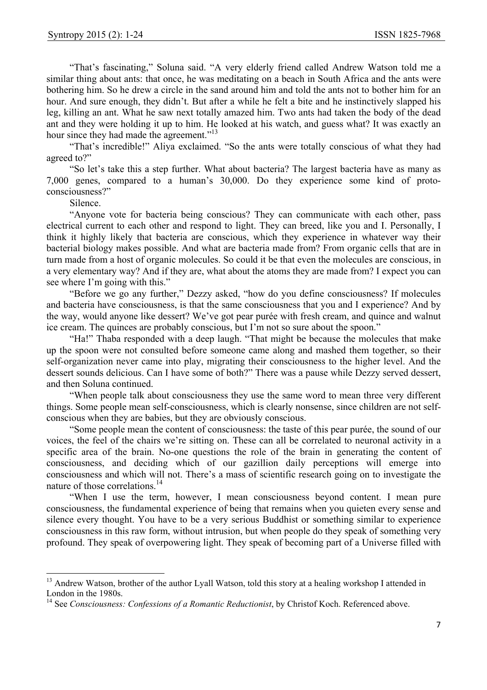"That's fascinating," Soluna said. "A very elderly friend called Andrew Watson told me a similar thing about ants: that once, he was meditating on a beach in South Africa and the ants were bothering him. So he drew a circle in the sand around him and told the ants not to bother him for an hour. And sure enough, they didn't. But after a while he felt a bite and he instinctively slapped his leg, killing an ant. What he saw next totally amazed him. Two ants had taken the body of the dead ant and they were holding it up to him. He looked at his watch, and guess what? It was exactly an hour since they had made the agreement."<sup>13</sup>

"That's incredible!" Aliya exclaimed. "So the ants were totally conscious of what they had agreed to?"

"So let's take this a step further. What about bacteria? The largest bacteria have as many as 7,000 genes, compared to a human's 30,000. Do they experience some kind of protoconsciousness?"

Silence.

 $\overline{a}$ 

"Anyone vote for bacteria being conscious? They can communicate with each other, pass electrical current to each other and respond to light. They can breed, like you and I. Personally, I think it highly likely that bacteria are conscious, which they experience in whatever way their bacterial biology makes possible. And what are bacteria made from? From organic cells that are in turn made from a host of organic molecules. So could it be that even the molecules are conscious, in a very elementary way? And if they are, what about the atoms they are made from? I expect you can see where I'm going with this."

"Before we go any further," Dezzy asked, "how do you define consciousness? If molecules and bacteria have consciousness, is that the same consciousness that you and I experience? And by the way, would anyone like dessert? We've got pear purée with fresh cream, and quince and walnut ice cream. The quinces are probably conscious, but I'm not so sure about the spoon."

"Ha!" Thaba responded with a deep laugh. "That might be because the molecules that make up the spoon were not consulted before someone came along and mashed them together, so their self-organization never came into play, migrating their consciousness to the higher level. And the dessert sounds delicious. Can I have some of both?" There was a pause while Dezzy served dessert, and then Soluna continued.

"When people talk about consciousness they use the same word to mean three very different things. Some people mean self-consciousness, which is clearly nonsense, since children are not selfconscious when they are babies, but they are obviously conscious.

"Some people mean the content of consciousness: the taste of this pear purée, the sound of our voices, the feel of the chairs we're sitting on. These can all be correlated to neuronal activity in a specific area of the brain. No-one questions the role of the brain in generating the content of consciousness, and deciding which of our gazillion daily perceptions will emerge into consciousness and which will not. There's a mass of scientific research going on to investigate the nature of those correlations.<sup>14</sup>

"When I use the term, however, I mean consciousness beyond content. I mean pure consciousness, the fundamental experience of being that remains when you quieten every sense and silence every thought. You have to be a very serious Buddhist or something similar to experience consciousness in this raw form, without intrusion, but when people do they speak of something very profound. They speak of overpowering light. They speak of becoming part of a Universe filled with

<sup>&</sup>lt;sup>13</sup> Andrew Watson, brother of the author Lyall Watson, told this story at a healing workshop I attended in London in the 1980s.

<sup>&</sup>lt;sup>14</sup> See *Consciousness: Confessions of a Romantic Reductionist*, by Christof Koch. Referenced above.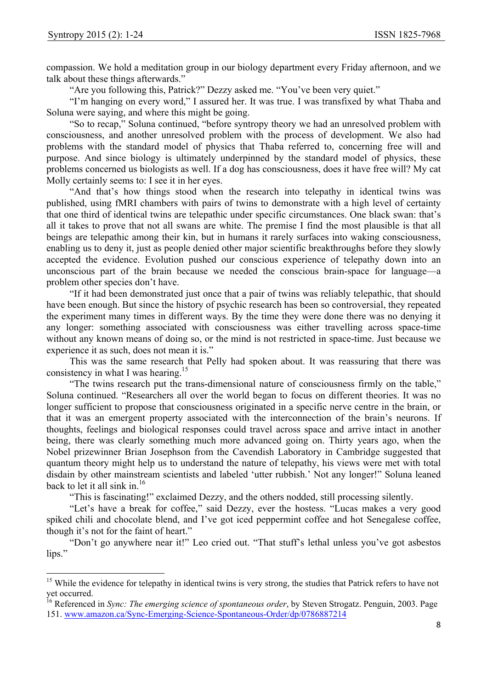$\overline{a}$ 

compassion. We hold a meditation group in our biology department every Friday afternoon, and we talk about these things afterwards."

"Are you following this, Patrick?" Dezzy asked me. "You've been very quiet."

"I'm hanging on every word," I assured her. It was true. I was transfixed by what Thaba and Soluna were saying, and where this might be going.

"So to recap," Soluna continued, "before syntropy theory we had an unresolved problem with consciousness, and another unresolved problem with the process of development. We also had problems with the standard model of physics that Thaba referred to, concerning free will and purpose. And since biology is ultimately underpinned by the standard model of physics, these problems concerned us biologists as well. If a dog has consciousness, does it have free will? My cat Molly certainly seems to: I see it in her eyes.

"And that's how things stood when the research into telepathy in identical twins was published, using fMRI chambers with pairs of twins to demonstrate with a high level of certainty that one third of identical twins are telepathic under specific circumstances. One black swan: that's all it takes to prove that not all swans are white. The premise I find the most plausible is that all beings are telepathic among their kin, but in humans it rarely surfaces into waking consciousness, enabling us to deny it, just as people denied other major scientific breakthroughs before they slowly accepted the evidence. Evolution pushed our conscious experience of telepathy down into an unconscious part of the brain because we needed the conscious brain-space for language—a problem other species don't have.

"If it had been demonstrated just once that a pair of twins was reliably telepathic, that should have been enough. But since the history of psychic research has been so controversial, they repeated the experiment many times in different ways. By the time they were done there was no denying it any longer: something associated with consciousness was either travelling across space-time without any known means of doing so, or the mind is not restricted in space-time. Just because we experience it as such, does not mean it is."

This was the same research that Pelly had spoken about. It was reassuring that there was consistency in what I was hearing.15

"The twins research put the trans-dimensional nature of consciousness firmly on the table," Soluna continued. "Researchers all over the world began to focus on different theories. It was no longer sufficient to propose that consciousness originated in a specific nerve centre in the brain, or that it was an emergent property associated with the interconnection of the brain's neurons. If thoughts, feelings and biological responses could travel across space and arrive intact in another being, there was clearly something much more advanced going on. Thirty years ago, when the Nobel prizewinner Brian Josephson from the Cavendish Laboratory in Cambridge suggested that quantum theory might help us to understand the nature of telepathy, his views were met with total disdain by other mainstream scientists and labeled 'utter rubbish.' Not any longer!" Soluna leaned back to let it all sink in.<sup>16</sup>

"This is fascinating!" exclaimed Dezzy, and the others nodded, still processing silently.

"Let's have a break for coffee," said Dezzy, ever the hostess. "Lucas makes a very good spiked chili and chocolate blend, and I've got iced peppermint coffee and hot Senegalese coffee, though it's not for the faint of heart."

"Don't go anywhere near it!" Leo cried out. "That stuff's lethal unless you've got asbestos lips."

<sup>&</sup>lt;sup>15</sup> While the evidence for telepathy in identical twins is very strong, the studies that Patrick refers to have not yet occurred.

<sup>&</sup>lt;sup>16</sup> Referenced in *Sync: The emerging science of spontaneous order*, by Steven Strogatz. Penguin, 2003. Page 151. www.amazon.ca/Sync-Emerging-Science-Spontaneous-Order/dp/0786887214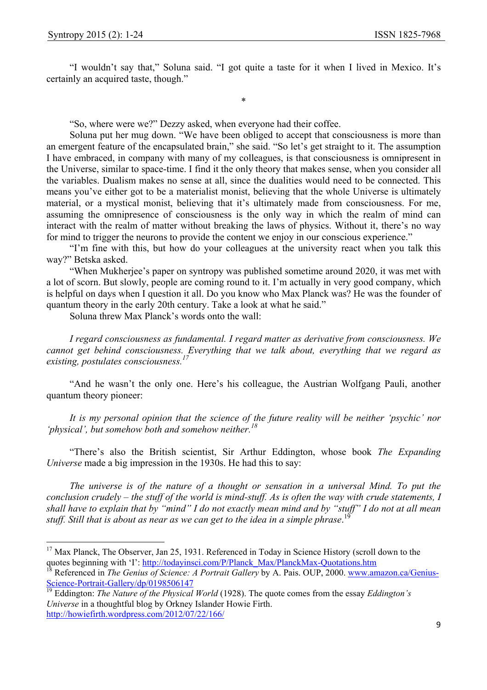$\overline{\phantom{a}}$ 

"I wouldn't say that," Soluna said. "I got quite a taste for it when I lived in Mexico. It's certainly an acquired taste, though."

\*

"So, where were we?" Dezzy asked, when everyone had their coffee.

Soluna put her mug down. "We have been obliged to accept that consciousness is more than an emergent feature of the encapsulated brain," she said. "So let's get straight to it. The assumption I have embraced, in company with many of my colleagues, is that consciousness is omnipresent in the Universe, similar to space-time. I find it the only theory that makes sense, when you consider all the variables. Dualism makes no sense at all, since the dualities would need to be connected. This means you've either got to be a materialist monist, believing that the whole Universe is ultimately material, or a mystical monist, believing that it's ultimately made from consciousness. For me, assuming the omnipresence of consciousness is the only way in which the realm of mind can interact with the realm of matter without breaking the laws of physics. Without it, there's no way for mind to trigger the neurons to provide the content we enjoy in our conscious experience."

"I'm fine with this, but how do your colleagues at the university react when you talk this way?" Betska asked.

"When Mukherjee's paper on syntropy was published sometime around 2020, it was met with a lot of scorn. But slowly, people are coming round to it. I'm actually in very good company, which is helpful on days when I question it all. Do you know who Max Planck was? He was the founder of quantum theory in the early 20th century. Take a look at what he said."

Soluna threw Max Planck's words onto the wall:

*I regard consciousness as fundamental. I regard matter as derivative from consciousness. We cannot get behind consciousness. Everything that we talk about, everything that we regard as existing, postulates consciousness.17*

"And he wasn't the only one. Here's his colleague, the Austrian Wolfgang Pauli, another quantum theory pioneer:

*It is my personal opinion that the science of the future reality will be neither 'psychic' nor 'physical', but somehow both and somehow neither.18*

"There's also the British scientist, Sir Arthur Eddington, whose book *The Expanding Universe* made a big impression in the 1930s. He had this to say:

*The universe is of the nature of a thought or sensation in a universal Mind. To put the conclusion crudely – the stuff of the world is mind-stuff. As is often the way with crude statements, I shall have to explain that by "mind" I do not exactly mean mind and by "stuff" I do not at all mean stuff. Still that is about as near as we can get to the idea in a simple phrase*. 19

<sup>&</sup>lt;sup>17</sup> Max Planck, The Observer, Jan 25, 1931. Referenced in Today in Science History (scroll down to the quotes beginning with 'I': http://todayinsci.com/P/Planck\_Max/PlanckMax-Quotations.htm

<sup>18</sup> Referenced in *The Genius of Science: A Portrait Gallery* by A. Pais. OUP, 2000. www.amazon.ca/Genius-Science-Portrait-Gallery/dp/0198506147

<sup>19</sup> Eddington: *The Nature of the Physical World* (1928). The quote comes from the essay *Eddington's Universe* in a thoughtful blog by Orkney Islander Howie Firth. http://howiefirth.wordpress.com/2012/07/22/166/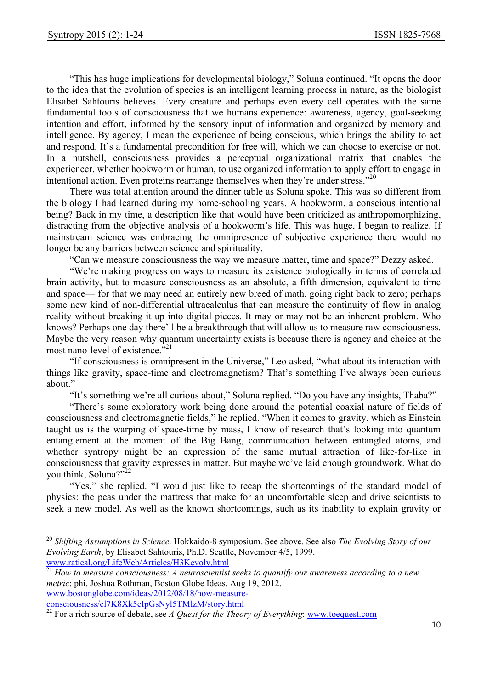"This has huge implications for developmental biology," Soluna continued. "It opens the door to the idea that the evolution of species is an intelligent learning process in nature, as the biologist Elisabet Sahtouris believes. Every creature and perhaps even every cell operates with the same fundamental tools of consciousness that we humans experience: awareness, agency, goal-seeking intention and effort, informed by the sensory input of information and organized by memory and intelligence. By agency, I mean the experience of being conscious, which brings the ability to act and respond. It's a fundamental precondition for free will, which we can choose to exercise or not. In a nutshell, consciousness provides a perceptual organizational matrix that enables the experiencer, whether hookworm or human, to use organized information to apply effort to engage in intentional action. Even proteins rearrange themselves when they're under stress."<sup>20</sup>

There was total attention around the dinner table as Soluna spoke. This was so different from the biology I had learned during my home-schooling years. A hookworm, a conscious intentional being? Back in my time, a description like that would have been criticized as anthropomorphizing, distracting from the objective analysis of a hookworm's life. This was huge, I began to realize. If mainstream science was embracing the omnipresence of subjective experience there would no longer be any barriers between science and spirituality.

"Can we measure consciousness the way we measure matter, time and space?" Dezzy asked.

"We're making progress on ways to measure its existence biologically in terms of correlated brain activity, but to measure consciousness as an absolute, a fifth dimension, equivalent to time and space— for that we may need an entirely new breed of math, going right back to zero; perhaps some new kind of non-differential ultracalculus that can measure the continuity of flow in analog reality without breaking it up into digital pieces. It may or may not be an inherent problem. Who knows? Perhaps one day there'll be a breakthrough that will allow us to measure raw consciousness. Maybe the very reason why quantum uncertainty exists is because there is agency and choice at the most nano-level of existence."<sup>21</sup>

"If consciousness is omnipresent in the Universe," Leo asked, "what about its interaction with things like gravity, space-time and electromagnetism? That's something I've always been curious about."

"It's something we're all curious about," Soluna replied. "Do you have any insights, Thaba?"

"There's some exploratory work being done around the potential coaxial nature of fields of consciousness and electromagnetic fields," he replied. "When it comes to gravity, which as Einstein taught us is the warping of space-time by mass, I know of research that's looking into quantum entanglement at the moment of the Big Bang, communication between entangled atoms, and whether syntropy might be an expression of the same mutual attraction of like-for-like in consciousness that gravity expresses in matter. But maybe we've laid enough groundwork. What do you think, Soluna?"22

"Yes," she replied. "I would just like to recap the shortcomings of the standard model of physics: the peas under the mattress that make for an uncomfortable sleep and drive scientists to seek a new model. As well as the known shortcomings, such as its inability to explain gravity or

consciousness/cl7K8Xk5eIpGsNyl5TMlzM/story.html

<sup>20</sup> *Shifting Assumptions in Science*. Hokkaido-8 symposium. See above. See also *The Evolving Story of our Evolving Earth*, by Elisabet Sahtouris, Ph.D. Seattle, November 4/5, 1999. www.ratical.org/LifeWeb/Articles/H3Kevolv.html

<sup>&</sup>lt;sup>21</sup> How to measure consciousness: A neuroscientist seeks to quantify our awareness according to a new *metric*: phi. Joshua Rothman, Boston Globe Ideas, Aug 19, 2012. www.bostonglobe.com/ideas/2012/08/18/how-measure-

<sup>22</sup> For a rich source of debate, see *A Quest for the Theory of Everything*: www.toequest.com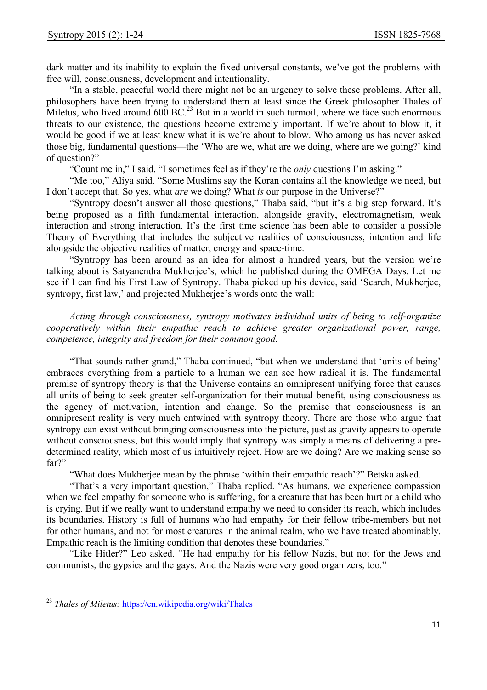dark matter and its inability to explain the fixed universal constants, we've got the problems with free will, consciousness, development and intentionality.

"In a stable, peaceful world there might not be an urgency to solve these problems. After all, philosophers have been trying to understand them at least since the Greek philosopher Thales of Miletus, who lived around  $600$  BC.<sup>23</sup> But in a world in such turmoil, where we face such enormous threats to our existence, the questions become extremely important. If we're about to blow it, it would be good if we at least knew what it is we're about to blow. Who among us has never asked those big, fundamental questions—the 'Who are we, what are we doing, where are we going?' kind of question?"

"Count me in," I said. "I sometimes feel as if they're the *only* questions I'm asking."

"Me too," Aliya said. "Some Muslims say the Koran contains all the knowledge we need, but I don't accept that. So yes, what *are* we doing? What *is* our purpose in the Universe?"

"Syntropy doesn't answer all those questions," Thaba said, "but it's a big step forward. It's being proposed as a fifth fundamental interaction, alongside gravity, electromagnetism, weak interaction and strong interaction. It's the first time science has been able to consider a possible Theory of Everything that includes the subjective realities of consciousness, intention and life alongside the objective realities of matter, energy and space-time.

"Syntropy has been around as an idea for almost a hundred years, but the version we're talking about is Satyanendra Mukherjee's, which he published during the OMEGA Days. Let me see if I can find his First Law of Syntropy. Thaba picked up his device, said 'Search, Mukherjee, syntropy, first law,' and projected Mukherjee's words onto the wall:

*Acting through consciousness, syntropy motivates individual units of being to self-organize cooperatively within their empathic reach to achieve greater organizational power, range, competence, integrity and freedom for their common good.* 

"That sounds rather grand," Thaba continued, "but when we understand that 'units of being' embraces everything from a particle to a human we can see how radical it is. The fundamental premise of syntropy theory is that the Universe contains an omnipresent unifying force that causes all units of being to seek greater self-organization for their mutual benefit, using consciousness as the agency of motivation, intention and change. So the premise that consciousness is an omnipresent reality is very much entwined with syntropy theory. There are those who argue that syntropy can exist without bringing consciousness into the picture, just as gravity appears to operate without consciousness, but this would imply that syntropy was simply a means of delivering a predetermined reality, which most of us intuitively reject. How are we doing? Are we making sense so far?"

"What does Mukherjee mean by the phrase 'within their empathic reach'?" Betska asked.

"That's a very important question," Thaba replied. "As humans, we experience compassion when we feel empathy for someone who is suffering, for a creature that has been hurt or a child who is crying. But if we really want to understand empathy we need to consider its reach, which includes its boundaries. History is full of humans who had empathy for their fellow tribe-members but not for other humans, and not for most creatures in the animal realm, who we have treated abominably. Empathic reach is the limiting condition that denotes these boundaries."

"Like Hitler?" Leo asked. "He had empathy for his fellow Nazis, but not for the Jews and communists, the gypsies and the gays. And the Nazis were very good organizers, too."

<sup>23</sup> *Thales of Miletus:* https://en.wikipedia.org/wiki/Thales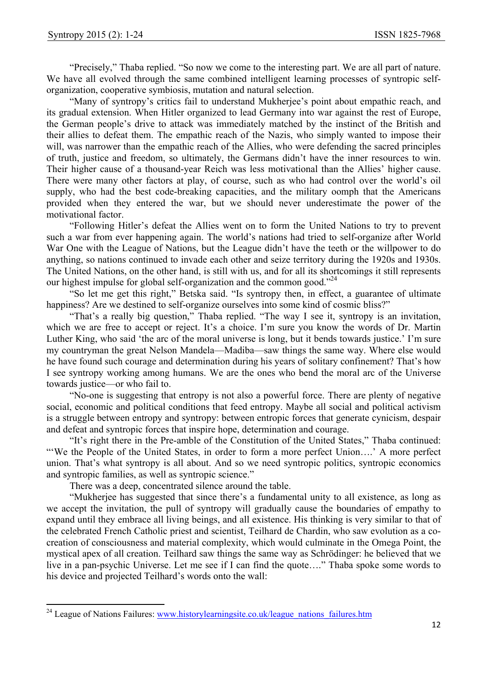"Precisely," Thaba replied. "So now we come to the interesting part. We are all part of nature. We have all evolved through the same combined intelligent learning processes of syntropic selforganization, cooperative symbiosis, mutation and natural selection.

"Many of syntropy's critics fail to understand Mukherjee's point about empathic reach, and its gradual extension. When Hitler organized to lead Germany into war against the rest of Europe, the German people's drive to attack was immediately matched by the instinct of the British and their allies to defeat them. The empathic reach of the Nazis, who simply wanted to impose their will, was narrower than the empathic reach of the Allies, who were defending the sacred principles of truth, justice and freedom, so ultimately, the Germans didn't have the inner resources to win. Their higher cause of a thousand-year Reich was less motivational than the Allies' higher cause. There were many other factors at play, of course, such as who had control over the world's oil supply, who had the best code-breaking capacities, and the military oomph that the Americans provided when they entered the war, but we should never underestimate the power of the motivational factor.

"Following Hitler's defeat the Allies went on to form the United Nations to try to prevent such a war from ever happening again. The world's nations had tried to self-organize after World War One with the League of Nations, but the League didn't have the teeth or the willpower to do anything, so nations continued to invade each other and seize territory during the 1920s and 1930s. The United Nations, on the other hand, is still with us, and for all its shortcomings it still represents our highest impulse for global self-organization and the common good."<sup>24</sup>

"So let me get this right," Betska said. "Is syntropy then, in effect, a guarantee of ultimate happiness? Are we destined to self-organize ourselves into some kind of cosmic bliss?"

"That's a really big question," Thaba replied. "The way I see it, syntropy is an invitation, which we are free to accept or reject. It's a choice. I'm sure you know the words of Dr. Martin Luther King, who said 'the arc of the moral universe is long, but it bends towards justice.' I'm sure my countryman the great Nelson Mandela—Madiba—saw things the same way. Where else would he have found such courage and determination during his years of solitary confinement? That's how I see syntropy working among humans. We are the ones who bend the moral arc of the Universe towards justice—or who fail to.

"No-one is suggesting that entropy is not also a powerful force. There are plenty of negative social, economic and political conditions that feed entropy. Maybe all social and political activism is a struggle between entropy and syntropy: between entropic forces that generate cynicism, despair and defeat and syntropic forces that inspire hope, determination and courage.

"It's right there in the Pre-amble of the Constitution of the United States," Thaba continued: "'We the People of the United States, in order to form a more perfect Union….' A more perfect union. That's what syntropy is all about. And so we need syntropic politics, syntropic economics and syntropic families, as well as syntropic science."

There was a deep, concentrated silence around the table.

 $\overline{a}$ 

"Mukherjee has suggested that since there's a fundamental unity to all existence, as long as we accept the invitation, the pull of syntropy will gradually cause the boundaries of empathy to expand until they embrace all living beings, and all existence. His thinking is very similar to that of the celebrated French Catholic priest and scientist, Teilhard de Chardin, who saw evolution as a cocreation of consciousness and material complexity, which would culminate in the Omega Point, the mystical apex of all creation. Teilhard saw things the same way as Schrödinger: he believed that we live in a pan-psychic Universe. Let me see if I can find the quote…." Thaba spoke some words to his device and projected Teilhard's words onto the wall:

 $24$  League of Nations Failures: www.historylearningsite.co.uk/league\_nations\_failures.htm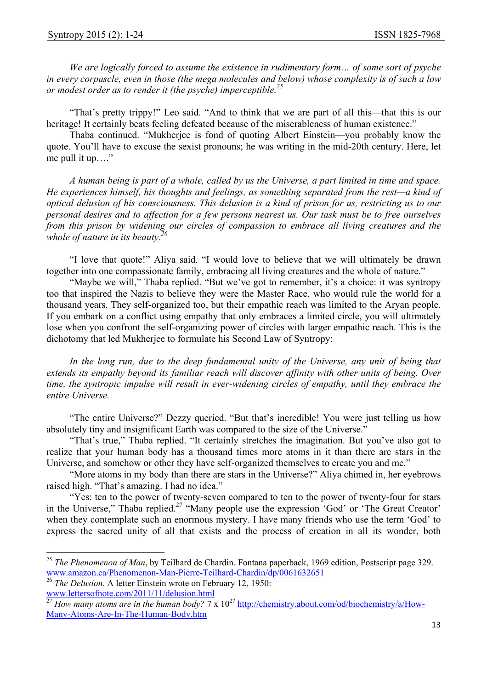*We are logically forced to assume the existence in rudimentary form… of some sort of psyche in every corpuscle, even in those (the mega molecules and below) whose complexity is of such a low or modest order as to render it (the psyche) imperceptible.25*

"That's pretty trippy!" Leo said. "And to think that we are part of all this—that this is our heritage! It certainly beats feeling defeated because of the miserableness of human existence."

Thaba continued. "Mukherjee is fond of quoting Albert Einstein—you probably know the quote. You'll have to excuse the sexist pronouns; he was writing in the mid-20th century. Here, let me pull it up…."

*A human being is part of a whole, called by us the Universe, a part limited in time and space. He experiences himself, his thoughts and feelings, as something separated from the rest—a kind of optical delusion of his consciousness. This delusion is a kind of prison for us, restricting us to our personal desires and to affection for a few persons nearest us. Our task must be to free ourselves from this prison by widening our circles of compassion to embrace all living creatures and the*  whole of nature in its beauty.<sup>2</sup>

"I love that quote!" Aliya said. "I would love to believe that we will ultimately be drawn together into one compassionate family, embracing all living creatures and the whole of nature."

"Maybe we will," Thaba replied. "But we've got to remember, it's a choice: it was syntropy too that inspired the Nazis to believe they were the Master Race, who would rule the world for a thousand years. They self-organized too, but their empathic reach was limited to the Aryan people. If you embark on a conflict using empathy that only embraces a limited circle, you will ultimately lose when you confront the self-organizing power of circles with larger empathic reach. This is the dichotomy that led Mukherjee to formulate his Second Law of Syntropy:

*In the long run, due to the deep fundamental unity of the Universe, any unit of being that extends its empathy beyond its familiar reach will discover affinity with other units of being. Over time, the syntropic impulse will result in ever-widening circles of empathy, until they embrace the entire Universe.* 

"The entire Universe?" Dezzy queried. "But that's incredible! You were just telling us how absolutely tiny and insignificant Earth was compared to the size of the Universe."

"That's true," Thaba replied. "It certainly stretches the imagination. But you've also got to realize that your human body has a thousand times more atoms in it than there are stars in the Universe, and somehow or other they have self-organized themselves to create you and me."

"More atoms in my body than there are stars in the Universe?" Aliya chimed in, her eyebrows raised high. "That's amazing. I had no idea."

"Yes: ten to the power of twenty-seven compared to ten to the power of twenty-four for stars in the Universe," Thaba replied.27 "Many people use the expression 'God' or 'The Great Creator' when they contemplate such an enormous mystery. I have many friends who use the term 'God' to express the sacred unity of all that exists and the process of creation in all its wonder, both

<sup>25</sup> *The Phenomenon of Man*, by Teilhard de Chardin. Fontana paperback, 1969 edition, Postscript page 329. www.amazon.ca/Phenomenon-Man-Pierre-Teilhard-Chardin/dp/0061632651

<sup>&</sup>lt;sup>26</sup> *The Delusion*. A letter Einstein wrote on February 12, 1950: www.lettersofnote.com/2011/11/delusion.html

<sup>&</sup>lt;sup>27</sup> How many atoms are in the human body? 7 x 10<sup>27</sup> http://chemistry.about.com/od/biochemistry/a/How-Many-Atoms-Are-In-The-Human-Body.htm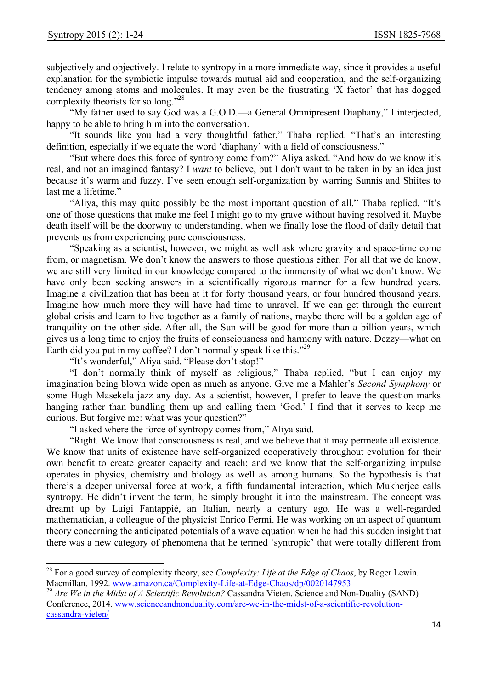l

subjectively and objectively. I relate to syntropy in a more immediate way, since it provides a useful explanation for the symbiotic impulse towards mutual aid and cooperation, and the self-organizing tendency among atoms and molecules. It may even be the frustrating 'X factor' that has dogged complexity theorists for so long."28

"My father used to say God was a G.O.D.—a General Omnipresent Diaphany," I interjected, happy to be able to bring him into the conversation.

"It sounds like you had a very thoughtful father," Thaba replied. "That's an interesting definition, especially if we equate the word 'diaphany' with a field of consciousness."

"But where does this force of syntropy come from?" Aliya asked. "And how do we know it's real, and not an imagined fantasy? I *want* to believe, but I don't want to be taken in by an idea just because it's warm and fuzzy. I've seen enough self-organization by warring Sunnis and Shiites to last me a lifetime."

"Aliya, this may quite possibly be the most important question of all," Thaba replied. "It's one of those questions that make me feel I might go to my grave without having resolved it. Maybe death itself will be the doorway to understanding, when we finally lose the flood of daily detail that prevents us from experiencing pure consciousness.

"Speaking as a scientist, however, we might as well ask where gravity and space-time come from, or magnetism. We don't know the answers to those questions either. For all that we do know, we are still very limited in our knowledge compared to the immensity of what we don't know. We have only been seeking answers in a scientifically rigorous manner for a few hundred years. Imagine a civilization that has been at it for forty thousand years, or four hundred thousand years. Imagine how much more they will have had time to unravel. If we can get through the current global crisis and learn to live together as a family of nations, maybe there will be a golden age of tranquility on the other side. After all, the Sun will be good for more than a billion years, which gives us a long time to enjoy the fruits of consciousness and harmony with nature. Dezzy—what on Earth did you put in my coffee? I don't normally speak like this."<sup>29</sup>

"It's wonderful," Aliya said. "Please don't stop!"

"I don't normally think of myself as religious," Thaba replied, "but I can enjoy my imagination being blown wide open as much as anyone. Give me a Mahler's *Second Symphony* or some Hugh Masekela jazz any day. As a scientist, however, I prefer to leave the question marks hanging rather than bundling them up and calling them 'God.' I find that it serves to keep me curious. But forgive me: what was your question?"

"I asked where the force of syntropy comes from," Aliya said.

"Right. We know that consciousness is real, and we believe that it may permeate all existence. We know that units of existence have self-organized cooperatively throughout evolution for their own benefit to create greater capacity and reach; and we know that the self-organizing impulse operates in physics, chemistry and biology as well as among humans. So the hypothesis is that there's a deeper universal force at work, a fifth fundamental interaction, which Mukherjee calls syntropy. He didn't invent the term; he simply brought it into the mainstream. The concept was dreamt up by Luigi Fantappiè, an Italian, nearly a century ago. He was a well-regarded mathematician, a colleague of the physicist Enrico Fermi. He was working on an aspect of quantum theory concerning the anticipated potentials of a wave equation when he had this sudden insight that there was a new category of phenomena that he termed 'syntropic' that were totally different from

<sup>28</sup> For a good survey of complexity theory, see *Complexity: Life at the Edge of Chaos*, by Roger Lewin. Macmillan, 1992. www.amazon.ca/Complexity-Life-at-Edge-Chaos/dp/0020147953

<sup>&</sup>lt;sup>29</sup> Are We in the Midst of A Scientific Revolution? Cassandra Vieten. Science and Non-Duality (SAND) Conference, 2014. www.scienceandnonduality.com/are-we-in-the-midst-of-a-scientific-revolutioncassandra-vieten/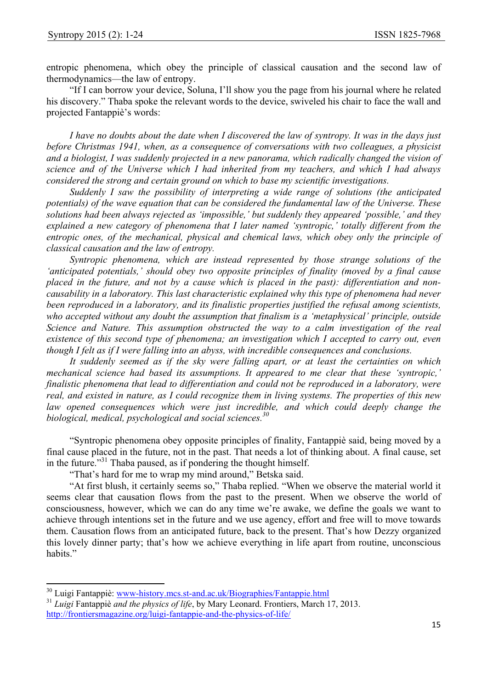entropic phenomena, which obey the principle of classical causation and the second law of thermodynamics—the law of entropy.

"If I can borrow your device, Soluna, I'll show you the page from his journal where he related his discovery." Thaba spoke the relevant words to the device, swiveled his chair to face the wall and projected Fantappiè's words:

*I have no doubts about the date when I discovered the law of syntropy. It was in the days just before Christmas 1941, when, as a consequence of conversations with two colleagues, a physicist and a biologist, I was suddenly projected in a new panorama, which radically changed the vision of science and of the Universe which I had inherited from my teachers, and which I had always considered the strong and certain ground on which to base my scientific investigations.* 

*Suddenly I saw the possibility of interpreting a wide range of solutions (the anticipated potentials) of the wave equation that can be considered the fundamental law of the Universe. These solutions had been always rejected as 'impossible,' but suddenly they appeared 'possible,' and they explained a new category of phenomena that I later named 'syntropic,' totally different from the entropic ones, of the mechanical, physical and chemical laws, which obey only the principle of classical causation and the law of entropy.* 

*Syntropic phenomena, which are instead represented by those strange solutions of the 'anticipated potentials,' should obey two opposite principles of finality (moved by a final cause placed in the future, and not by a cause which is placed in the past): differentiation and noncausability in a laboratory. This last characteristic explained why this type of phenomena had never been reproduced in a laboratory, and its finalistic properties justified the refusal among scientists, who accepted without any doubt the assumption that finalism is a 'metaphysical' principle, outside Science and Nature. This assumption obstructed the way to a calm investigation of the real existence of this second type of phenomena; an investigation which I accepted to carry out, even though I felt as if I were falling into an abyss, with incredible consequences and conclusions.* 

*It suddenly seemed as if the sky were falling apart, or at least the certainties on which mechanical science had based its assumptions. It appeared to me clear that these 'syntropic,' finalistic phenomena that lead to differentiation and could not be reproduced in a laboratory, were real, and existed in nature, as I could recognize them in living systems. The properties of this new*  law opened consequences which were just incredible, and which could deeply change the *biological, medical, psychological and social sciences.30*

"Syntropic phenomena obey opposite principles of finality, Fantappiè said, being moved by a final cause placed in the future, not in the past. That needs a lot of thinking about. A final cause, set in the future."31 Thaba paused, as if pondering the thought himself.

"That's hard for me to wrap my mind around," Betska said.

"At first blush, it certainly seems so," Thaba replied. "When we observe the material world it seems clear that causation flows from the past to the present. When we observe the world of consciousness, however, which we can do any time we're awake, we define the goals we want to achieve through intentions set in the future and we use agency, effort and free will to move towards them. Causation flows from an anticipated future, back to the present. That's how Dezzy organized this lovely dinner party; that's how we achieve everything in life apart from routine, unconscious habits."

<sup>&</sup>lt;sup>30</sup> Luigi Fantappiè: www-history.mcs.st-and.ac.uk/Biographies/Fantappie.html

<sup>&</sup>lt;sup>31</sup> *Luigi Fantappiè and the physics of life*, by Mary Leonard. Frontiers, March 17, 2013. http://frontiersmagazine.org/luigi-fantappie-and-the-physics-of-life/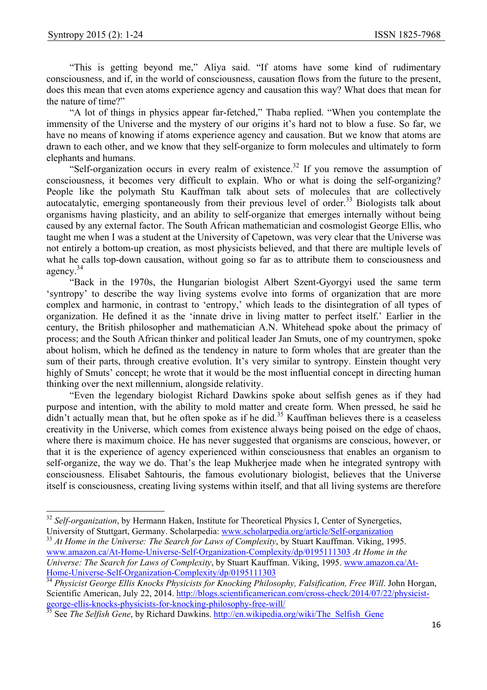$\overline{\phantom{a}}$ 

"This is getting beyond me," Aliya said. "If atoms have some kind of rudimentary consciousness, and if, in the world of consciousness, causation flows from the future to the present, does this mean that even atoms experience agency and causation this way? What does that mean for the nature of time?"

"A lot of things in physics appear far-fetched," Thaba replied. "When you contemplate the immensity of the Universe and the mystery of our origins it's hard not to blow a fuse. So far, we have no means of knowing if atoms experience agency and causation. But we know that atoms are drawn to each other, and we know that they self-organize to form molecules and ultimately to form elephants and humans.

"Self-organization occurs in every realm of existence.<sup>32</sup> If you remove the assumption of consciousness, it becomes very difficult to explain. Who or what is doing the self-organizing? People like the polymath Stu Kauffman talk about sets of molecules that are collectively autocatalytic, emerging spontaneously from their previous level of order.<sup>33</sup> Biologists talk about organisms having plasticity, and an ability to self-organize that emerges internally without being caused by any external factor. The South African mathematician and cosmologist George Ellis, who taught me when I was a student at the University of Capetown, was very clear that the Universe was not entirely a bottom-up creation, as most physicists believed, and that there are multiple levels of what he calls top-down causation, without going so far as to attribute them to consciousness and agency.34

"Back in the 1970s, the Hungarian biologist Albert Szent-Gyorgyi used the same term 'syntropy' to describe the way living systems evolve into forms of organization that are more complex and harmonic, in contrast to 'entropy,' which leads to the disintegration of all types of organization. He defined it as the 'innate drive in living matter to perfect itself.' Earlier in the century, the British philosopher and mathematician A.N. Whitehead spoke about the primacy of process; and the South African thinker and political leader Jan Smuts, one of my countrymen, spoke about holism, which he defined as the tendency in nature to form wholes that are greater than the sum of their parts, through creative evolution. It's very similar to syntropy. Einstein thought very highly of Smuts' concept; he wrote that it would be the most influential concept in directing human thinking over the next millennium, alongside relativity.

"Even the legendary biologist Richard Dawkins spoke about selfish genes as if they had purpose and intention, with the ability to mold matter and create form. When pressed, he said he  $\mu$  didn't actually mean that, but he often spoke as if he did.<sup>35</sup> Kauffman believes there is a ceaseless creativity in the Universe, which comes from existence always being poised on the edge of chaos, where there is maximum choice. He has never suggested that organisms are conscious, however, or that it is the experience of agency experienced within consciousness that enables an organism to self-organize, the way we do. That's the leap Mukherjee made when he integrated syntropy with consciousness. Elisabet Sahtouris, the famous evolutionary biologist, believes that the Universe itself is consciousness, creating living systems within itself, and that all living systems are therefore

<sup>&</sup>lt;sup>32</sup> *Self-organization*, by Hermann Haken, Institute for Theoretical Physics I, Center of Synergetics, University of Stuttgart, Germany. Scholarpedia: www.scholarpedia.org/article/Self-organization

<sup>&</sup>lt;sup>33</sup> At Home in the Universe: The Search for Laws of Complexity, by Stuart Kauffman. Viking, 1995. www.amazon.ca/At-Home-Universe-Self-Organization-Complexity/dp/0195111303 *At Home in the Universe: The Search for Laws of Complexity*, by Stuart Kauffman. Viking, 1995. www.amazon.ca/At-Home-Universe-Self-Organization-Complexity/dp/0195111303

<sup>&</sup>lt;sup>34</sup> *Physicist George Ellis Knocks Physicists for Knocking Philosophy, Falsification, Free Will. John Horgan,* Scientific American, July 22, 2014. http://blogs.scientificamerican.com/cross-check/2014/07/22/physicistgeorge-ellis-knocks-physicists-for-knocking-philosophy-free-will/

<sup>&</sup>lt;sup>35</sup> See *The Selfish Gene*, by Richard Dawkins. http://en.wikipedia.org/wiki/The Selfish Gene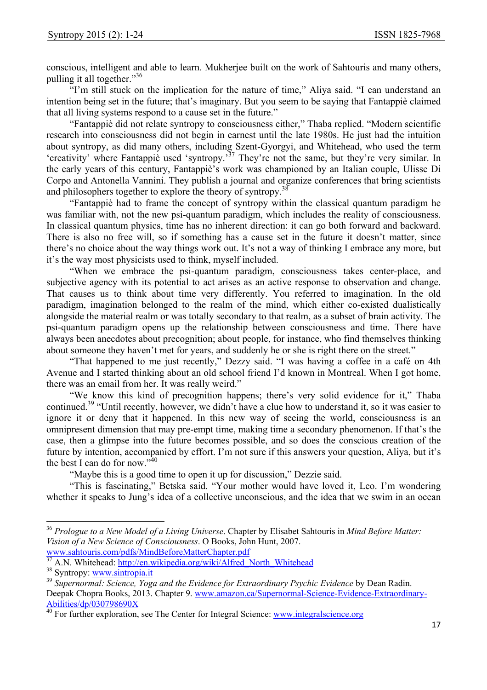conscious, intelligent and able to learn. Mukherjee built on the work of Sahtouris and many others, pulling it all together."36

"I'm still stuck on the implication for the nature of time," Aliya said. "I can understand an intention being set in the future; that's imaginary. But you seem to be saying that Fantappiè claimed that all living systems respond to a cause set in the future."

"Fantappiè did not relate syntropy to consciousness either," Thaba replied. "Modern scientific research into consciousness did not begin in earnest until the late 1980s. He just had the intuition about syntropy, as did many others, including Szent-Gyorgyi, and Whitehead, who used the term 'creativity' where Fantappiè used 'syntropy.'37 They're not the same, but they're very similar. In the early years of this century, Fantappiè's work was championed by an Italian couple, Ulisse Di Corpo and Antonella Vannini. They publish a journal and organize conferences that bring scientists and philosophers together to explore the theory of syntropy.<sup>38</sup>

"Fantappiè had to frame the concept of syntropy within the classical quantum paradigm he was familiar with, not the new psi-quantum paradigm, which includes the reality of consciousness. In classical quantum physics, time has no inherent direction: it can go both forward and backward. There is also no free will, so if something has a cause set in the future it doesn't matter, since there's no choice about the way things work out. It's not a way of thinking I embrace any more, but it's the way most physicists used to think, myself included.

"When we embrace the psi-quantum paradigm, consciousness takes center-place, and subjective agency with its potential to act arises as an active response to observation and change. That causes us to think about time very differently. You referred to imagination. In the old paradigm, imagination belonged to the realm of the mind, which either co-existed dualistically alongside the material realm or was totally secondary to that realm, as a subset of brain activity. The psi-quantum paradigm opens up the relationship between consciousness and time. There have always been anecdotes about precognition; about people, for instance, who find themselves thinking about someone they haven't met for years, and suddenly he or she is right there on the street."

"That happened to me just recently," Dezzy said. "I was having a coffee in a café on 4th Avenue and I started thinking about an old school friend I'd known in Montreal. When I got home, there was an email from her. It was really weird."

"We know this kind of precognition happens; there's very solid evidence for it," Thaba continued.<sup>39</sup> "Until recently, however, we didn't have a clue how to understand it, so it was easier to ignore it or deny that it happened. In this new way of seeing the world, consciousness is an omnipresent dimension that may pre-empt time, making time a secondary phenomenon. If that's the case, then a glimpse into the future becomes possible, and so does the conscious creation of the future by intention, accompanied by effort. I'm not sure if this answers your question, Aliya, but it's the best I can do for now."<sup>40</sup>

"Maybe this is a good time to open it up for discussion," Dezzie said.

"This is fascinating," Betska said. "Your mother would have loved it, Leo. I'm wondering whether it speaks to Jung's idea of a collective unconscious, and the idea that we swim in an ocean

 $\overline{a}$ 

<sup>36</sup> *Prologue to a New Model of a Living Universe*. Chapter by Elisabet Sahtouris in *Mind Before Matter: Vision of a New Science of Consciousness*. O Books, John Hunt, 2007. www.sahtouris.com/pdfs/MindBeforeMatterChapter.pdf

<sup>&</sup>lt;sup>37</sup> A.N. Whitehead: http://en.wikipedia.org/wiki/Alfred\_North\_Whitehead

<sup>38</sup> Syntropy: www.sintropia.it

<sup>39</sup> *Supernormal: Science, Yoga and the Evidence for Extraordinary Psychic Evidence* by Dean Radin. Deepak Chopra Books, 2013. Chapter 9. www.amazon.ca/Supernormal-Science-Evidence-Extraordinary-Abilities/dp/030798690X

 $\frac{40}{40}$  For further exploration, see The Center for Integral Science: www.integralscience.org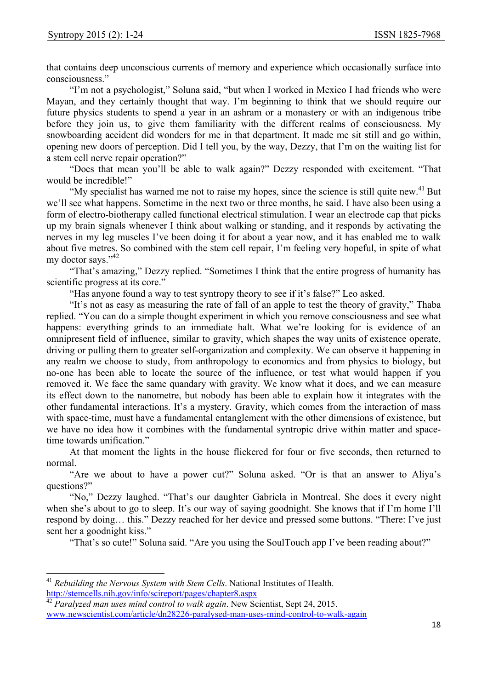that contains deep unconscious currents of memory and experience which occasionally surface into consciousness."

"I'm not a psychologist," Soluna said, "but when I worked in Mexico I had friends who were Mayan, and they certainly thought that way. I'm beginning to think that we should require our future physics students to spend a year in an ashram or a monastery or with an indigenous tribe before they join us, to give them familiarity with the different realms of consciousness. My snowboarding accident did wonders for me in that department. It made me sit still and go within, opening new doors of perception. Did I tell you, by the way, Dezzy, that I'm on the waiting list for a stem cell nerve repair operation?"

"Does that mean you'll be able to walk again?" Dezzy responded with excitement. "That would be incredible!"

"My specialist has warned me not to raise my hopes, since the science is still quite new.<sup>41</sup> But we'll see what happens. Sometime in the next two or three months, he said. I have also been using a form of electro-biotherapy called functional electrical stimulation. I wear an electrode cap that picks up my brain signals whenever I think about walking or standing, and it responds by activating the nerves in my leg muscles I've been doing it for about a year now, and it has enabled me to walk about five metres. So combined with the stem cell repair, I'm feeling very hopeful, in spite of what my doctor says."<sup>42</sup>

"That's amazing," Dezzy replied. "Sometimes I think that the entire progress of humanity has scientific progress at its core."

"Has anyone found a way to test syntropy theory to see if it's false?" Leo asked.

"It's not as easy as measuring the rate of fall of an apple to test the theory of gravity," Thaba replied. "You can do a simple thought experiment in which you remove consciousness and see what happens: everything grinds to an immediate halt. What we're looking for is evidence of an omnipresent field of influence, similar to gravity, which shapes the way units of existence operate, driving or pulling them to greater self-organization and complexity. We can observe it happening in any realm we choose to study, from anthropology to economics and from physics to biology, but no-one has been able to locate the source of the influence, or test what would happen if you removed it. We face the same quandary with gravity. We know what it does, and we can measure its effect down to the nanometre, but nobody has been able to explain how it integrates with the other fundamental interactions. It's a mystery. Gravity, which comes from the interaction of mass with space-time, must have a fundamental entanglement with the other dimensions of existence, but we have no idea how it combines with the fundamental syntropic drive within matter and spacetime towards unification."

At that moment the lights in the house flickered for four or five seconds, then returned to normal.

"Are we about to have a power cut?" Soluna asked. "Or is that an answer to Aliya's questions?"

"No," Dezzy laughed. "That's our daughter Gabriela in Montreal. She does it every night when she's about to go to sleep. It's our way of saying goodnight. She knows that if I'm home I'll respond by doing… this." Dezzy reached for her device and pressed some buttons. "There: I've just sent her a goodnight kiss."

"That's so cute!" Soluna said. "Are you using the SoulTouch app I've been reading about?"

 $\overline{a}$ 

<sup>41</sup> *Rebuilding the Nervous System with Stem Cells*. National Institutes of Health. http://stemcells.nih.gov/info/scireport/pages/chapter8.aspx

<sup>42</sup> *Paralyzed man uses mind control to walk again*. New Scientist, Sept 24, 2015. www.newscientist.com/article/dn28226-paralysed-man-uses-mind-control-to-walk-again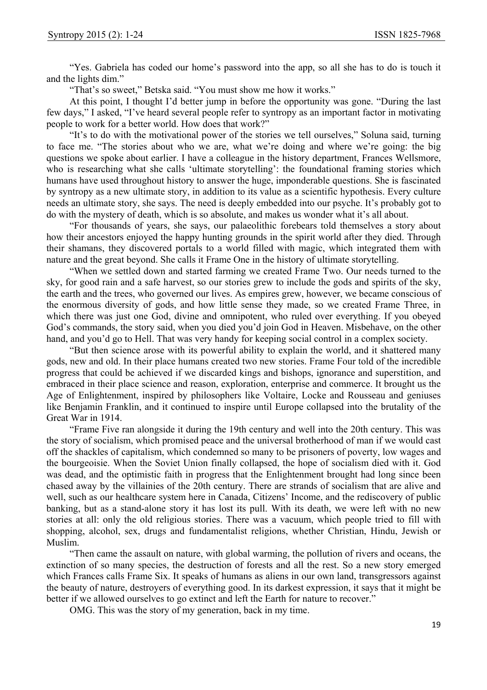"Yes. Gabriela has coded our home's password into the app, so all she has to do is touch it and the lights dim."

"That's so sweet," Betska said. "You must show me how it works."

At this point, I thought I'd better jump in before the opportunity was gone. "During the last few days," I asked, "I've heard several people refer to syntropy as an important factor in motivating people to work for a better world. How does that work?"

"It's to do with the motivational power of the stories we tell ourselves," Soluna said, turning to face me. "The stories about who we are, what we're doing and where we're going: the big questions we spoke about earlier. I have a colleague in the history department, Frances Wellsmore, who is researching what she calls 'ultimate storytelling': the foundational framing stories which humans have used throughout history to answer the huge, imponderable questions. She is fascinated by syntropy as a new ultimate story, in addition to its value as a scientific hypothesis. Every culture needs an ultimate story, she says. The need is deeply embedded into our psyche. It's probably got to do with the mystery of death, which is so absolute, and makes us wonder what it's all about.

"For thousands of years, she says, our palaeolithic forebears told themselves a story about how their ancestors enjoyed the happy hunting grounds in the spirit world after they died. Through their shamans, they discovered portals to a world filled with magic, which integrated them with nature and the great beyond. She calls it Frame One in the history of ultimate storytelling.

"When we settled down and started farming we created Frame Two. Our needs turned to the sky, for good rain and a safe harvest, so our stories grew to include the gods and spirits of the sky, the earth and the trees, who governed our lives. As empires grew, however, we became conscious of the enormous diversity of gods, and how little sense they made, so we created Frame Three, in which there was just one God, divine and omnipotent, who ruled over everything. If you obeyed God's commands, the story said, when you died you'd join God in Heaven. Misbehave, on the other hand, and you'd go to Hell. That was very handy for keeping social control in a complex society.

"But then science arose with its powerful ability to explain the world, and it shattered many gods, new and old. In their place humans created two new stories. Frame Four told of the incredible progress that could be achieved if we discarded kings and bishops, ignorance and superstition, and embraced in their place science and reason, exploration, enterprise and commerce. It brought us the Age of Enlightenment, inspired by philosophers like Voltaire, Locke and Rousseau and geniuses like Benjamin Franklin, and it continued to inspire until Europe collapsed into the brutality of the Great War in 1914.

"Frame Five ran alongside it during the 19th century and well into the 20th century. This was the story of socialism, which promised peace and the universal brotherhood of man if we would cast off the shackles of capitalism, which condemned so many to be prisoners of poverty, low wages and the bourgeoisie. When the Soviet Union finally collapsed, the hope of socialism died with it. God was dead, and the optimistic faith in progress that the Enlightenment brought had long since been chased away by the villainies of the 20th century. There are strands of socialism that are alive and well, such as our healthcare system here in Canada, Citizens' Income, and the rediscovery of public banking, but as a stand-alone story it has lost its pull. With its death, we were left with no new stories at all: only the old religious stories. There was a vacuum, which people tried to fill with shopping, alcohol, sex, drugs and fundamentalist religions, whether Christian, Hindu, Jewish or Muslim.

"Then came the assault on nature, with global warming, the pollution of rivers and oceans, the extinction of so many species, the destruction of forests and all the rest. So a new story emerged which Frances calls Frame Six. It speaks of humans as aliens in our own land, transgressors against the beauty of nature, destroyers of everything good. In its darkest expression, it says that it might be better if we allowed ourselves to go extinct and left the Earth for nature to recover."

OMG. This was the story of my generation, back in my time.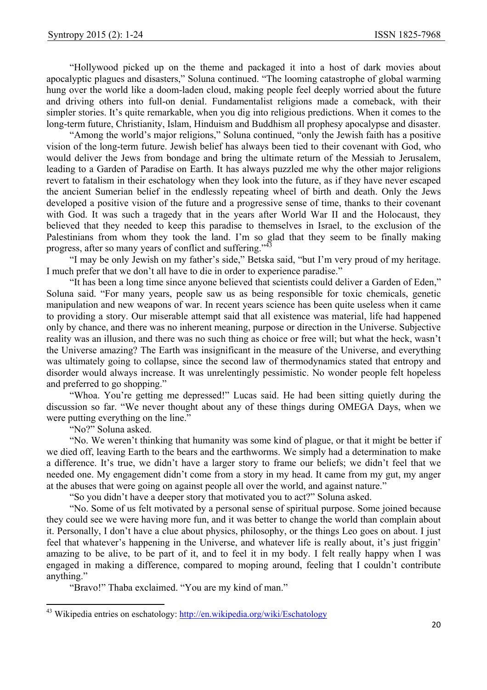"Hollywood picked up on the theme and packaged it into a host of dark movies about apocalyptic plagues and disasters," Soluna continued. "The looming catastrophe of global warming hung over the world like a doom-laden cloud, making people feel deeply worried about the future and driving others into full-on denial. Fundamentalist religions made a comeback, with their simpler stories. It's quite remarkable, when you dig into religious predictions. When it comes to the long-term future, Christianity, Islam, Hinduism and Buddhism all prophesy apocalypse and disaster.

"Among the world's major religions," Soluna continued, "only the Jewish faith has a positive vision of the long-term future. Jewish belief has always been tied to their covenant with God, who would deliver the Jews from bondage and bring the ultimate return of the Messiah to Jerusalem, leading to a Garden of Paradise on Earth. It has always puzzled me why the other major religions revert to fatalism in their eschatology when they look into the future, as if they have never escaped the ancient Sumerian belief in the endlessly repeating wheel of birth and death. Only the Jews developed a positive vision of the future and a progressive sense of time, thanks to their covenant with God. It was such a tragedy that in the years after World War II and the Holocaust, they believed that they needed to keep this paradise to themselves in Israel, to the exclusion of the Palestinians from whom they took the land. I'm so glad that they seem to be finally making progress, after so many years of conflict and suffering."<sup>43</sup>

"I may be only Jewish on my father's side," Betska said, "but I'm very proud of my heritage. I much prefer that we don't all have to die in order to experience paradise."

"It has been a long time since anyone believed that scientists could deliver a Garden of Eden," Soluna said. "For many years, people saw us as being responsible for toxic chemicals, genetic manipulation and new weapons of war. In recent years science has been quite useless when it came to providing a story. Our miserable attempt said that all existence was material, life had happened only by chance, and there was no inherent meaning, purpose or direction in the Universe. Subjective reality was an illusion, and there was no such thing as choice or free will; but what the heck, wasn't the Universe amazing? The Earth was insignificant in the measure of the Universe, and everything was ultimately going to collapse, since the second law of thermodynamics stated that entropy and disorder would always increase. It was unrelentingly pessimistic. No wonder people felt hopeless and preferred to go shopping."

"Whoa. You're getting me depressed!" Lucas said. He had been sitting quietly during the discussion so far. "We never thought about any of these things during OMEGA Days, when we were putting everything on the line."

"No?" Soluna asked.

 $\overline{a}$ 

"No. We weren't thinking that humanity was some kind of plague, or that it might be better if we died off, leaving Earth to the bears and the earthworms. We simply had a determination to make a difference. It's true, we didn't have a larger story to frame our beliefs; we didn't feel that we needed one. My engagement didn't come from a story in my head. It came from my gut, my anger at the abuses that were going on against people all over the world, and against nature."

"So you didn't have a deeper story that motivated you to act?" Soluna asked.

"No. Some of us felt motivated by a personal sense of spiritual purpose. Some joined because they could see we were having more fun, and it was better to change the world than complain about it. Personally, I don't have a clue about physics, philosophy, or the things Leo goes on about. I just feel that whatever's happening in the Universe, and whatever life is really about, it's just friggin' amazing to be alive, to be part of it, and to feel it in my body. I felt really happy when I was engaged in making a difference, compared to moping around, feeling that I couldn't contribute anything."

"Bravo!" Thaba exclaimed. "You are my kind of man."

<sup>&</sup>lt;sup>43</sup> Wikipedia entries on eschatology: http://en.wikipedia.org/wiki/Eschatology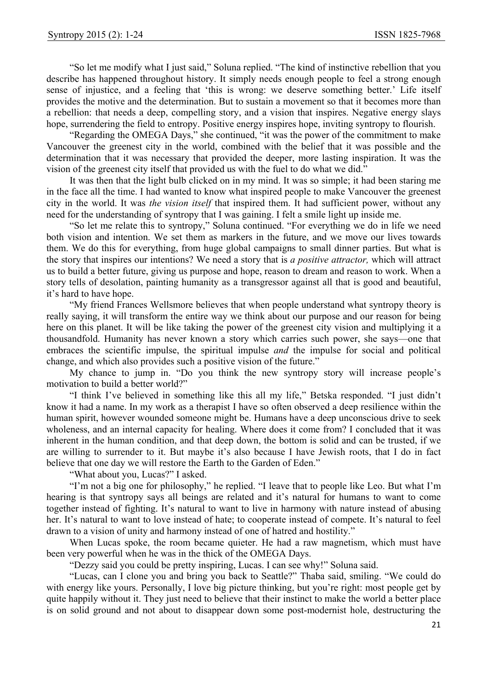"So let me modify what I just said," Soluna replied. "The kind of instinctive rebellion that you describe has happened throughout history. It simply needs enough people to feel a strong enough sense of injustice, and a feeling that 'this is wrong: we deserve something better.' Life itself provides the motive and the determination. But to sustain a movement so that it becomes more than a rebellion: that needs a deep, compelling story, and a vision that inspires. Negative energy slays hope, surrendering the field to entropy. Positive energy inspires hope, inviting syntropy to flourish.

"Regarding the OMEGA Days," she continued, "it was the power of the commitment to make Vancouver the greenest city in the world, combined with the belief that it was possible and the determination that it was necessary that provided the deeper, more lasting inspiration. It was the vision of the greenest city itself that provided us with the fuel to do what we did."

It was then that the light bulb clicked on in my mind. It was so simple; it had been staring me in the face all the time. I had wanted to know what inspired people to make Vancouver the greenest city in the world. It was *the vision itself* that inspired them. It had sufficient power, without any need for the understanding of syntropy that I was gaining. I felt a smile light up inside me.

"So let me relate this to syntropy," Soluna continued. "For everything we do in life we need both vision and intention. We set them as markers in the future, and we move our lives towards them. We do this for everything, from huge global campaigns to small dinner parties. But what is the story that inspires our intentions? We need a story that is *a positive attractor,* which will attract us to build a better future, giving us purpose and hope, reason to dream and reason to work. When a story tells of desolation, painting humanity as a transgressor against all that is good and beautiful, it's hard to have hope.

"My friend Frances Wellsmore believes that when people understand what syntropy theory is really saying, it will transform the entire way we think about our purpose and our reason for being here on this planet. It will be like taking the power of the greenest city vision and multiplying it a thousandfold. Humanity has never known a story which carries such power, she says—one that embraces the scientific impulse, the spiritual impulse *and* the impulse for social and political change, and which also provides such a positive vision of the future."

My chance to jump in. "Do you think the new syntropy story will increase people's motivation to build a better world?"

"I think I've believed in something like this all my life," Betska responded. "I just didn't know it had a name. In my work as a therapist I have so often observed a deep resilience within the human spirit, however wounded someone might be. Humans have a deep unconscious drive to seek wholeness, and an internal capacity for healing. Where does it come from? I concluded that it was inherent in the human condition, and that deep down, the bottom is solid and can be trusted, if we are willing to surrender to it. But maybe it's also because I have Jewish roots, that I do in fact believe that one day we will restore the Earth to the Garden of Eden."

"What about you, Lucas?" I asked.

"I'm not a big one for philosophy," he replied. "I leave that to people like Leo. But what I'm hearing is that syntropy says all beings are related and it's natural for humans to want to come together instead of fighting. It's natural to want to live in harmony with nature instead of abusing her. It's natural to want to love instead of hate; to cooperate instead of compete. It's natural to feel drawn to a vision of unity and harmony instead of one of hatred and hostility."

When Lucas spoke, the room became quieter. He had a raw magnetism, which must have been very powerful when he was in the thick of the OMEGA Days.

"Dezzy said you could be pretty inspiring, Lucas. I can see why!" Soluna said.

"Lucas, can I clone you and bring you back to Seattle?" Thaba said, smiling. "We could do with energy like yours. Personally, I love big picture thinking, but you're right: most people get by quite happily without it. They just need to believe that their instinct to make the world a better place is on solid ground and not about to disappear down some post-modernist hole, destructuring the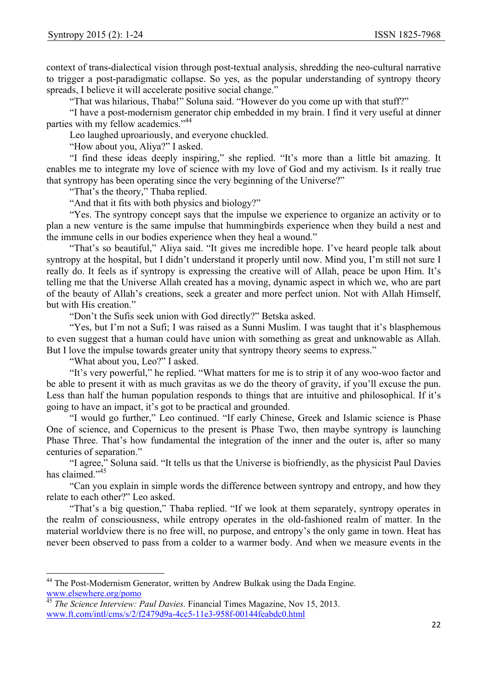"That was hilarious, Thaba!" Soluna said. "However do you come up with that stuff?"

"I have a post-modernism generator chip embedded in my brain. I find it very useful at dinner parties with my fellow academics."<sup>44</sup>

Leo laughed uproariously, and everyone chuckled.

"How about you, Aliya?" I asked.

"I find these ideas deeply inspiring," she replied. "It's more than a little bit amazing. It enables me to integrate my love of science with my love of God and my activism. Is it really true that syntropy has been operating since the very beginning of the Universe?"

"That's the theory," Thaba replied.

"And that it fits with both physics and biology?"

"Yes. The syntropy concept says that the impulse we experience to organize an activity or to plan a new venture is the same impulse that hummingbirds experience when they build a nest and the immune cells in our bodies experience when they heal a wound."

"That's so beautiful," Aliya said. "It gives me incredible hope. I've heard people talk about syntropy at the hospital, but I didn't understand it properly until now. Mind you, I'm still not sure I really do. It feels as if syntropy is expressing the creative will of Allah, peace be upon Him. It's telling me that the Universe Allah created has a moving, dynamic aspect in which we, who are part of the beauty of Allah's creations, seek a greater and more perfect union. Not with Allah Himself, but with His creation."

"Don't the Sufis seek union with God directly?" Betska asked.

"Yes, but I'm not a Sufi; I was raised as a Sunni Muslim. I was taught that it's blasphemous to even suggest that a human could have union with something as great and unknowable as Allah. But I love the impulse towards greater unity that syntropy theory seems to express."

"What about you, Leo?" I asked.

 $\overline{a}$ 

"It's very powerful," he replied. "What matters for me is to strip it of any woo-woo factor and be able to present it with as much gravitas as we do the theory of gravity, if you'll excuse the pun. Less than half the human population responds to things that are intuitive and philosophical. If it's going to have an impact, it's got to be practical and grounded.

"I would go further," Leo continued. "If early Chinese, Greek and Islamic science is Phase One of science, and Copernicus to the present is Phase Two, then maybe syntropy is launching Phase Three. That's how fundamental the integration of the inner and the outer is, after so many centuries of separation."

"I agree," Soluna said. "It tells us that the Universe is biofriendly, as the physicist Paul Davies has claimed." $45$ 

"Can you explain in simple words the difference between syntropy and entropy, and how they relate to each other?" Leo asked.

"That's a big question," Thaba replied. "If we look at them separately, syntropy operates in the realm of consciousness, while entropy operates in the old-fashioned realm of matter. In the material worldview there is no free will, no purpose, and entropy's the only game in town. Heat has never been observed to pass from a colder to a warmer body. And when we measure events in the

<sup>&</sup>lt;sup>44</sup> The Post-Modernism Generator, written by Andrew Bulkak using the Dada Engine. www.elsewhere.org/pomo

<sup>45</sup> *The Science Interview: Paul Davies.* Financial Times Magazine, Nov 15, 2013. www.ft.com/intl/cms/s/2/f2479d9a-4cc5-11e3-958f-00144feabdc0.html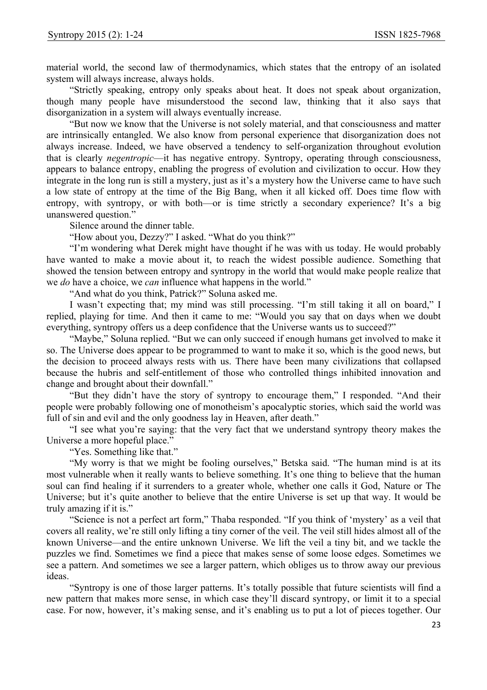material world, the second law of thermodynamics, which states that the entropy of an isolated system will always increase, always holds.

"Strictly speaking, entropy only speaks about heat. It does not speak about organization, though many people have misunderstood the second law, thinking that it also says that disorganization in a system will always eventually increase.

"But now we know that the Universe is not solely material, and that consciousness and matter are intrinsically entangled. We also know from personal experience that disorganization does not always increase. Indeed, we have observed a tendency to self-organization throughout evolution that is clearly *negentropic*—it has negative entropy. Syntropy, operating through consciousness, appears to balance entropy, enabling the progress of evolution and civilization to occur. How they integrate in the long run is still a mystery, just as it's a mystery how the Universe came to have such a low state of entropy at the time of the Big Bang, when it all kicked off. Does time flow with entropy, with syntropy, or with both—or is time strictly a secondary experience? It's a big unanswered question."

Silence around the dinner table.

"How about you, Dezzy?" I asked. "What do you think?"

"I'm wondering what Derek might have thought if he was with us today. He would probably have wanted to make a movie about it, to reach the widest possible audience. Something that showed the tension between entropy and syntropy in the world that would make people realize that we *do* have a choice, we *can* influence what happens in the world."

"And what do you think, Patrick?" Soluna asked me.

I wasn't expecting that; my mind was still processing. "I'm still taking it all on board," I replied, playing for time. And then it came to me: "Would you say that on days when we doubt everything, syntropy offers us a deep confidence that the Universe wants us to succeed?"

"Maybe," Soluna replied. "But we can only succeed if enough humans get involved to make it so. The Universe does appear to be programmed to want to make it so, which is the good news, but the decision to proceed always rests with us. There have been many civilizations that collapsed because the hubris and self-entitlement of those who controlled things inhibited innovation and change and brought about their downfall."

"But they didn't have the story of syntropy to encourage them," I responded. "And their people were probably following one of monotheism's apocalyptic stories, which said the world was full of sin and evil and the only goodness lay in Heaven, after death."

"I see what you're saying: that the very fact that we understand syntropy theory makes the Universe a more hopeful place."

"Yes. Something like that."

"My worry is that we might be fooling ourselves," Betska said. "The human mind is at its most vulnerable when it really wants to believe something. It's one thing to believe that the human soul can find healing if it surrenders to a greater whole, whether one calls it God, Nature or The Universe; but it's quite another to believe that the entire Universe is set up that way. It would be truly amazing if it is."

"Science is not a perfect art form," Thaba responded. "If you think of 'mystery' as a veil that covers all reality, we're still only lifting a tiny corner of the veil. The veil still hides almost all of the known Universe—and the entire unknown Universe. We lift the veil a tiny bit, and we tackle the puzzles we find. Sometimes we find a piece that makes sense of some loose edges. Sometimes we see a pattern. And sometimes we see a larger pattern, which obliges us to throw away our previous ideas.

"Syntropy is one of those larger patterns. It's totally possible that future scientists will find a new pattern that makes more sense, in which case they'll discard syntropy, or limit it to a special case. For now, however, it's making sense, and it's enabling us to put a lot of pieces together. Our